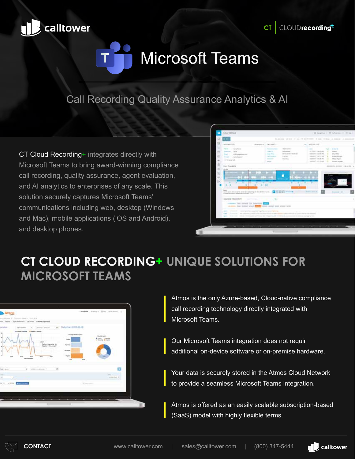



### Call Recording Quality Assurance Analytics & AI

CT Cloud Recording+ integrates directly with Microsoft Teams to bring award-winning compliance call recording, quality assurance, agent evaluation, and AI analytics to enterprises of any scale. This solution securely captures Microsoft Teams' communications including web, desktop (Windows and Mac), mobile applications (iOS and Android), and desktop phones.



# **CT CLOUD RECORDING+ UNIQUE SOLUTIONS FOR MICROSOFT TEAMS**

| Atmos<br>to this are a 1-1 percent dealer in the dist.                                                                                                      |                                                                           | Christie Street Blue Antonio II                                            |
|-------------------------------------------------------------------------------------------------------------------------------------------------------------|---------------------------------------------------------------------------|----------------------------------------------------------------------------|
| C. S. Stories and sales in the control of the property of the<br>not front buildings to the Gallery Service<br>sarvien<br>$49446 + 29464$<br>Chevrolet<br>÷ | Baily Chart (1919-03-28)<br>$-1$                                          |                                                                            |
| @ Tupid   Inches   @ Tupid   Incomp<br>Fooling 1 channel at 34.<br><b>Regalitat &amp; Millenando (F)</b>                                                    | And age to a skul- provi-<br><b>Tucket</b><br><b><i><u>Spring</u></i></b> | 2.5 % (2010)<br>Und Graham<br><b>Britain Linkswitz</b><br>1 Novem, 8 House |
| said.<br>$\sim$<br>$\frac{1}{2}$<br><b>SECURITY</b><br>-<br><b>Big CART was C</b><br>v<br>e so<br>CATEROLLARIA<br>Final Literature<br>$-1.41$               | <b>Bit carry</b><br><b>SQUARE</b><br>$\rightarrow$<br>Aug.<br>$-40.1$     |                                                                            |
| ٠                                                                                                                                                           |                                                                           | removing \$1                                                               |
| <b>AUSTRALIA</b><br>m in<br><b>Contract Contract</b>                                                                                                        | Science of the<br><b>Contract Contract</b>                                |                                                                            |
|                                                                                                                                                             |                                                                           |                                                                            |

Atmos is the only Azure-based, Cloud-native compliance call recording technology directly integrated with Microsoft Teams.

Our Microsoft Teams integration does not requir additional on-device software or on-premise hardware.

Your data is securely stored in the Atmos Cloud Network to provide a seamless Microsoft Teams integration.

Atmos is offered as an easily scalable subscription-based (SaaS) model with highly flexible terms.